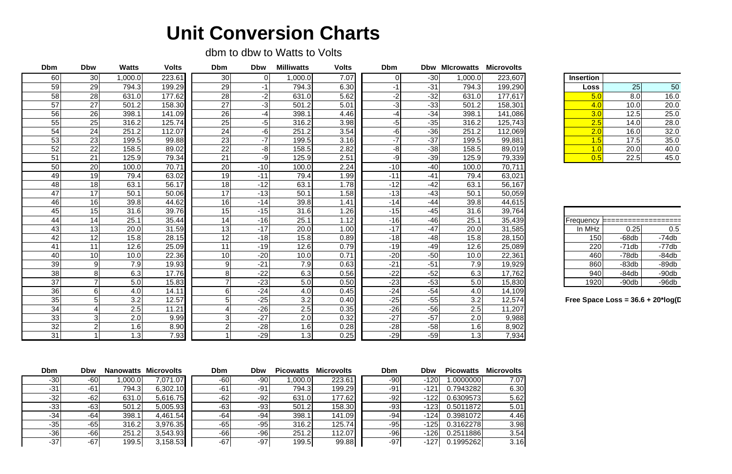## **Unit Conversion Charts**

dbm to dbw to Watts to Volts

| <b>Dbm</b>      | <b>Dbw</b>      | <b>Watts</b> | <b>Volts</b> | <b>Dbm</b>      | <b>Dbw</b> | <b>Milliwatts</b> | <b>Volts</b> | <b>Dbm</b> |       |         | <b>Dbw Microwatts Microvolts</b> |                                      |         |         |
|-----------------|-----------------|--------------|--------------|-----------------|------------|-------------------|--------------|------------|-------|---------|----------------------------------|--------------------------------------|---------|---------|
| 60              | 30              | 1,000.0      | 223.61       | 30 <sub>1</sub> |            | 1,000.0           | 7.07         |            | $-30$ | 1,000.0 | 223,607                          | <b>Insertion</b>                     |         |         |
| 59              | 29              | 794.3        | 199.29       | 29              | $-1$       | 794.3             | 6.30         | -1         | $-31$ | 794.3   | 199,290                          | Loss                                 | 25      | 50      |
| 58              | 28              | 631.0        | 177.62       | 28              | $-2$       | 631.0             | 5.62         | $-2$       | $-32$ | 631.0   | 177,617                          | 5.0                                  | 8.0     | 16.0    |
| 57              | 27              | 501.2        | 158.30       | 27              | $-3$       | 501.2             | 5.01         | $-3$       | $-33$ | 501.2   | 158,301                          | 4.0                                  | 10.0    | 20.0    |
| 56              | 26              | 398.1        | 141.09       | 26              | $-4$       | 398.1             | 4.46         | $-4$       | $-34$ | 398.1   | 141,086                          | 3.0                                  | 12.5    | 25.0    |
| 55              | 25              | 316.2        | 125.74       | 25              | $-5$       | 316.2             | 3.98         | $-5$       | $-35$ | 316.2   | 125,743                          | 2.5                                  | 14.0    | 28.0    |
| 54              | 24              | 251.2        | 112.07       | 24              | $-6$       | 251.2             | 3.54         | $-6$       | $-36$ | 251.2   | 112,069                          | 2.0                                  | 16.0    | 32.0    |
| 53              | 23              | 199.5        | 99.88        | 23              | $-7$       | 199.5             | 3.16         | $-7$       | $-37$ | 199.5   | 99,881                           | 1.5                                  | 17.5    | 35.0    |
| 52              | 22              | 158.5        | 89.02        | 22              | $-8$       | 158.5             | 2.82         | $-8$       | $-38$ | 158.5   | 89,019                           | 1.0                                  | 20.0    | 40.0    |
| 51              | 21              | 125.9        | 79.34        | 21              | $-9$       | 125.9             | 2.51         | $-9$       | $-39$ | 125.9   | 79,339                           | 0.5                                  | 22.5    | 45.0    |
| 50              | 20              | 100.0        | 70.71        | 20              | $-10$      | 100.0             | 2.24         | $-10$      | $-40$ | 100.0   | 70,711                           |                                      |         |         |
| 49              | 19              | 79.4         | 63.02        | 19              | $-11$      | 79.4              | 1.99         | $-11$      | $-41$ | 79.4    | 63,021                           |                                      |         |         |
| 48              | 18              | 63.1         | 56.17        | 18              | $-12$      | 63.1              | 1.78         | $-12$      | $-42$ | 63.1    | 56,167                           |                                      |         |         |
| 47              | 17              | 50.1         | 50.06        | 17              | $-13$      | 50.1              | 1.58         | $-13$      | $-43$ | 50.1    | 50,059                           |                                      |         |         |
| 46              | 16              | 39.8         | 44.62        | 16              | $-14$      | 39.8              | 1.41         | $-14$      | $-44$ | 39.8    | 44,615                           |                                      |         |         |
| 45              | 15              | 31.6         | 39.76        | 15              | $-15$      | 31.6              | 1.26         | $-15$      | $-45$ | 31.6    | 39,764                           |                                      |         |         |
| 44              | 14              | 25.1         | 35.44        | 14              | $-16$      | 25.1              | 1.12         | $-16$      | $-46$ | 25.1    | 35,439                           |                                      |         |         |
| 43              | 13              | 20.0         | 31.59        | 13              | $-17$      | 20.0              | 1.00         | $-17$      | $-47$ | 20.0    | 31,585                           | In MHz                               | 0.25    | 0.5     |
| 42              | 12              | 15.8         | 28.15        | 12              | $-18$      | 15.8              | 0.89         | $-18$      | $-48$ | 15.8    | 28,150                           | 150                                  | $-68db$ | $-74db$ |
| 41              | 11              | 12.6         | 25.09        | 11              | $-19$      | 12.6              | 0.79         | $-19$      | $-49$ | 12.6    | 25,089                           | 220                                  | $-71db$ | $-77db$ |
| 40              | 10 <sup>1</sup> | 10.0         | 22.36        | 10 <sup>1</sup> | $-20$      | 10.0              | 0.71         | $-20$      | $-50$ | 10.0    | 22,361                           | 460                                  | $-78db$ | $-84db$ |
| 39              |                 | 7.9          | 19.93        | 9 <sup>l</sup>  | $-21$      | 7.9               | 0.63         | $-21$      | $-51$ | 7.9     | 19,929                           | 860                                  | $-83db$ | $-89db$ |
| 38              |                 | 6.3          | 17.76        | 8               | $-22$      | 6.3               | 0.56         | $-22$      | $-52$ | 6.3     | 17,762                           | 940                                  | $-84db$ | $-90db$ |
| 37              |                 | 5.0          | 15.83        | 7 <sup>1</sup>  | $-23$      | 5.0               | 0.50         | $-23$      | $-53$ | 5.0     | 15,830                           | 1920                                 | $-90db$ | $-96db$ |
| $\overline{36}$ |                 | 4.0          | 14.11        | $\overline{6}$  | $-24$      | 4.0               | 0.45         | $-24$      | $-54$ | 4.0     | 14,109                           |                                      |         |         |
| 35              |                 | 3.2          | 12.57        | 5 <sup>1</sup>  | $-25$      | 3.2               | 0.40         | $-25$      | $-55$ | 3.2     | 12,574                           | Free Space Loss = $36.6 + 20$ *log(D |         |         |
| 34              |                 | 2.5          | 11.21        | $\overline{4}$  | $-26$      | $\overline{2.5}$  | 0.35         | $-26$      | $-56$ | 2.5     | 11,207                           |                                      |         |         |
| 33              |                 | 2.0          | 9.99         | 3               | $-27$      | 2.0               | 0.32         | $-27$      | $-57$ | 2.0     | 9,988                            |                                      |         |         |
| 32              |                 | 1.6          | 8.90         | 2               | $-28$      | 1.6               | 0.28         | $-28$      | $-58$ | 1.6     | 8,902                            |                                      |         |         |
| 31              |                 | 1.3          | 7.93         |                 | $-29$      | 1.3               | 0.25         | $-29$      | $-59$ | 1.3     | 7,934                            |                                      |         |         |

| <b>Dbm</b> | <b>Dbw</b> |        | <b>Nanowatts Microvolts</b> | Dbm   | <b>Dbw</b> | <b>Picowatts</b> | <b>Microvolts</b> | Dbm   | <b>Dbw</b> | <b>Picowatts</b> | <b>Microvolts</b> |
|------------|------------|--------|-----------------------------|-------|------------|------------------|-------------------|-------|------------|------------------|-------------------|
| $-30$      | $-60$      | .000.0 | 7,071.07                    | $-60$ | -90        | ,000.0           | 223.61            | $-90$ | $-120$     | .0000000         | 7.07              |
| $-31$      | $-61$      | 794.3  | 6,302.10                    | $-61$ | -91        | 794.3            | 199.29            | $-91$ | $-121$     | 0.7943282        | 6.30              |
| $-32$      | $-62$      | 631.0  | 5,616.75                    | $-62$ | -921       | 631.0            | 177.62            | $-92$ | $-122$     | 0.6309573        | 5.62              |
| $-33$      | $-63$      | 501.2  | 5,005.93                    | $-63$ | -93        | 501.2            | 158.30            | $-93$ | $-123$     | 0.5011872        | 5.01              |
| $-34$      | $-64$      | 398.1  | 4,461.54                    | $-64$ | $-94$      | 398.1            | 141.09            | $-94$ | $-124$     | 0.3981072        | 4.46              |
| $-35$      | $-65$      | 316.2  | 3,976.35                    | -65   | $-95$      | 316.2            | 125.74            | $-95$ | $-125$     | 0.3162278        | 3.98              |
| $-36$      | $-66$      | 251.2  | 3,543.93                    | -66   | -961       | 251.2            | 112.07            | -96   | $-126$     | 0.2511886        | 3.54              |
| $-37$      | $-67$      | 199.5  | 3,158.53                    | $-67$ | $-97$      | 199.5            | 99.88             | $-97$ | $-127$     | 0.1995262        | 3.16              |

| <b>Insertion</b> |      |      |
|------------------|------|------|
| Loss             | 25   | 50   |
| 5.0              | 8.0  | 16.0 |
| 4.0              | 10.0 | 20.0 |
| 3.0              | 12.5 | 25.0 |
| 2.5              | 14.0 | 28.0 |
| 2.0              | 16.0 | 32.0 |
| 1.5              | 17.5 | 35.0 |
| 1.0              | 20.0 | 40.0 |
| 0.5              | 22.5 | 45.0 |

| Frequency |         |          |
|-----------|---------|----------|
| In MHz    | 0.25    | 0.5      |
| 150       | $-68db$ | $-74db$  |
| 220       | $-71db$ | $-77$ db |
| 460       | $-78db$ | $-84db$  |
| 860       | $-83db$ | $-89db$  |
| 940       | -84db   | $-90db$  |
| 1920      | $-90db$ | $-96db$  |

## **Free Space Loss = 36.6 + 20\*log(D)**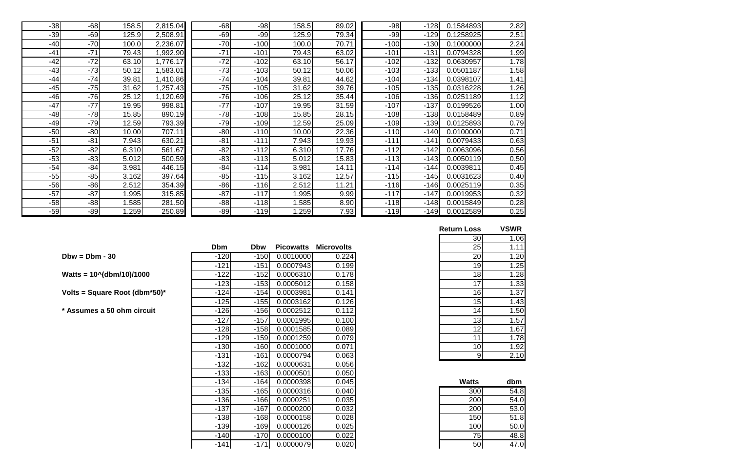| $-38$ | $-68$ | 158.5 | 2,815.04 | $-68$ | $-98$  | 158.5 | 89.02 | $-98$  | $-128$ | 0.1584893 | 2.82 |
|-------|-------|-------|----------|-------|--------|-------|-------|--------|--------|-----------|------|
| $-39$ | $-69$ | 125.9 | 2,508.91 | $-69$ | $-99$  | 125.9 | 79.34 | $-99$  | $-129$ | 0.1258925 | 2.51 |
| $-40$ | $-70$ | 100.0 | 2,236.07 | $-70$ | $-100$ | 100.0 | 70.71 | $-100$ | $-130$ | 0.1000000 | 2.24 |
| $-41$ | $-71$ | 79.43 | ,992.90  | $-71$ | $-101$ | 79.43 | 63.02 | $-101$ | $-131$ | 0.0794328 | 1.99 |
| $-42$ | $-72$ | 63.10 | ,776.17  | $-72$ | $-102$ | 63.10 | 56.17 | $-102$ | $-132$ | 0.0630957 | 1.78 |
| $-43$ | $-73$ | 50.12 | ,583.01  | $-73$ | $-103$ | 50.12 | 50.06 | $-103$ | $-133$ | 0.0501187 | 1.58 |
| $-44$ | $-74$ | 39.81 | ,410.86  | $-74$ | $-104$ | 39.81 | 44.62 | $-104$ | $-134$ | 0.0398107 | 1.41 |
| $-45$ | $-75$ | 31.62 | ,257.43  | $-75$ | $-105$ | 31.62 | 39.76 | $-105$ | $-135$ | 0.0316228 | 1.26 |
| $-46$ | $-76$ | 25.12 | ,120.69  | $-76$ | $-106$ | 25.12 | 35.44 | $-106$ | $-136$ | 0.0251189 | 1.12 |
| $-47$ | $-77$ | 19.95 | 998.81   | $-77$ | $-107$ | 19.95 | 31.59 | $-107$ | $-137$ | 0.0199526 | 1.00 |
| $-48$ | $-78$ | 15.85 | 890.19   | $-78$ | $-108$ | 15.85 | 28.15 | $-108$ | $-138$ | 0.0158489 | 0.89 |
| $-49$ | $-79$ | 12.59 | 793.39   | $-79$ | $-109$ | 12.59 | 25.09 | $-109$ | $-139$ | 0.0125893 | 0.79 |
| $-50$ | $-80$ | 10.00 | 707.11   | $-80$ | $-110$ | 10.00 | 22.36 | $-110$ | $-140$ | 0.0100000 | 0.71 |
| $-51$ | $-81$ | 7.943 | 630.21   | $-81$ | $-111$ | 7.943 | 19.93 | $-111$ | $-141$ | 0.0079433 | 0.63 |
| $-52$ | $-82$ | 6.310 | 561.67   | $-82$ | $-112$ | 6.310 | 17.76 | $-112$ | $-142$ | 0.0063096 | 0.56 |
| $-53$ | $-83$ | 5.012 | 500.59   | $-83$ | $-113$ | 5.012 | 15.83 | $-113$ | $-143$ | 0.0050119 | 0.50 |
| $-54$ | $-84$ | 3.981 | 446.15   | $-84$ | $-114$ | 3.981 | 14.11 | $-114$ | $-144$ | 0.0039811 | 0.45 |
| $-55$ | $-85$ | 3.162 | 397.64   | $-85$ | $-115$ | 3.162 | 12.57 | $-115$ | $-145$ | 0.0031623 | 0.40 |
| $-56$ | $-86$ | 2.512 | 354.39   | $-86$ | $-116$ | 2.512 | 11.21 | $-116$ | $-146$ | 0.0025119 | 0.35 |
| $-57$ | $-87$ | 1.995 | 315.85   | $-87$ | $-117$ | 1.995 | 9.99  | $-117$ | $-147$ | 0.0019953 | 0.32 |
| $-58$ | $-88$ | 1.585 | 281.50   | $-88$ | $-118$ | .585  | 8.90  | $-118$ | $-148$ | 0.0015849 | 0.28 |
| $-59$ | $-89$ | .259  | 250.89   | $-89$ | $-119$ | 1.259 | 7.93  | $-119$ | $-149$ | 0.0012589 | 0.25 |

| <b>Return Loss</b> | <b>VSWR</b> |
|--------------------|-------------|
| 30                 | 1.06        |
| 25                 | 1.11        |
| 20                 | 1.20        |
| 19                 | 1.25        |
| 18                 | 1.28        |
| 17                 | 1.33        |
| 16                 | 1.37        |
| 15                 | 1.43        |
| 14                 | 1.50        |
| 13                 | 1.57        |
| 12                 | 1.67        |
| 11                 | 1.78        |
| 10                 | 1.92        |
| 9                  | 2.10        |

|                                | <b>Dbm</b> | <b>Dbw</b> | <b>Picowatts</b> | <b>Microvolts</b> | 25           | 1.11 |
|--------------------------------|------------|------------|------------------|-------------------|--------------|------|
| $Dbw = Dbm - 30$               | $-120$     | $-150$     | 0.0010000        | 0.224             | 20           | 1.20 |
|                                | $-121$     | $-151$     | 0.0007943        | 0.199             | 19           | 1.25 |
| Watts = $10^{6}$ (dbm/10)/1000 | $-122$     | $-152$     | 0.0006310        | 0.178             | 18           | 1.28 |
|                                | $-123$     | $-153$     | 0.0005012        | 0.158             | 17           | 1.33 |
| Volts = Square Root (dbm*50)*  | $-124$     | $-154$     | 0.0003981        | 0.141             | 16           | 1.37 |
|                                | $-125$     | $-155$     | 0.0003162        | 0.126             | 15           | 1.43 |
| * Assumes a 50 ohm circuit     | $-126$     | $-156$     | 0.0002512        | 0.112             | 14           | 1.50 |
|                                | $-127$     | $-157$     | 0.0001995        | 0.100             | 13           | 1.57 |
|                                | $-128$     | $-158$     | 0.0001585        | 0.089             | 12           | 1.67 |
|                                | $-129$     | $-159$     | 0.0001259        | 0.079             | 11           | 1.78 |
|                                | $-130$     | $-160$     | 0.0001000        | 0.071             | 10           | 1.92 |
|                                | $-131$     | $-161$     | 0.0000794        | 0.063             | 9            | 2.10 |
|                                | $-132$     | $-162$     | 0.0000631        | 0.056             |              |      |
|                                | $-133$     | $-163$     | 0.0000501        | 0.050             |              |      |
|                                | $-134$     | $-164$     | 0.0000398        | 0.045             | <b>Watts</b> | dbm  |
|                                | $-135$     | $-165$     | 0.0000316        | 0.040             | 300          | 54.8 |
|                                | $-136$     | $-166$     | 0.0000251        | 0.035             | 200          | 54.0 |
|                                | $-137$     | $-167$     | 0.0000200        | 0.032             | 200          | 53.0 |
|                                | $-138$     | $-168$     | 0.0000158        | 0.028             | 150          | 51.8 |

| -134   | $-164$ | 0.0000398 | 0.045 | <b>Watts</b> | dbm  |
|--------|--------|-----------|-------|--------------|------|
| $-135$ | $-165$ | 0.0000316 | 0.040 | 300          | 54.8 |
| $-136$ | $-166$ | 0.0000251 | 0.035 | 200          | 54.0 |
| $-137$ | $-167$ | 0.0000200 | 0.032 | 200          | 53.0 |
| $-138$ | $-168$ | 0.0000158 | 0.028 | 150          | 51.8 |
| $-139$ | $-169$ | 0.0000126 | 0.025 | 100          | 50.0 |
| $-140$ | $-170$ | 0.0000100 | 0.022 | 75           | 48.8 |
| -141   | $-171$ | 0.0000079 | 0.020 | 50           | 47.0 |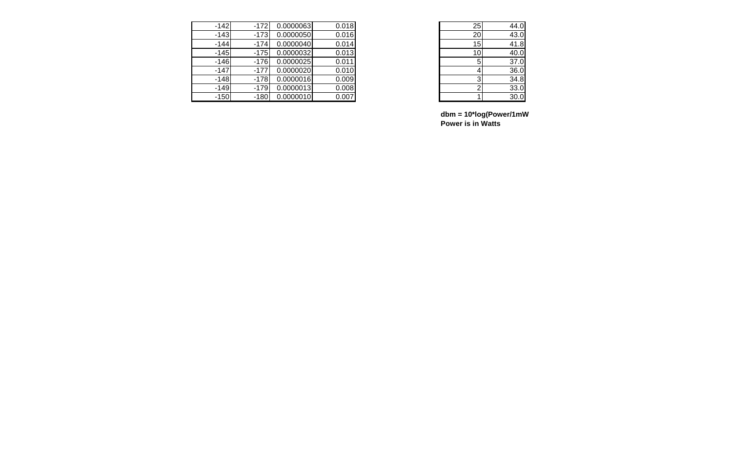| $-142$ | $-172$ | 0.0000063 | 0.018 | 25              |
|--------|--------|-----------|-------|-----------------|
| $-143$ | $-173$ | 0.0000050 | 0.016 | 20              |
| $-144$ | $-174$ | 0.0000040 | 0.014 | 15              |
| $-145$ | $-175$ | 0.0000032 | 0.013 | 10 <sub>1</sub> |
| $-146$ | $-176$ | 0.0000025 | 0.011 | 5               |
| $-147$ | $-177$ | 0.0000020 | 0.010 |                 |
| $-148$ | $-178$ | 0.0000016 | 0.009 |                 |
| $-149$ | $-179$ | 0.0000013 | 0.008 |                 |
| $-150$ | $-180$ | 0.0000010 | 0.007 |                 |

| $2\overline{5}$ | 44.0 |
|-----------------|------|
| 20              | 43.0 |
| 15              | 41.8 |
| 10              | 40.0 |
| 5               | 37.0 |
| 4               | 36.0 |
| 3               | 34.8 |
| $\overline{2}$  | 33.0 |
|                 | 30.0 |

| $dbm = 10^*log(Power/1mW)$ |
|----------------------------|
| <b>Power is in Watts</b>   |